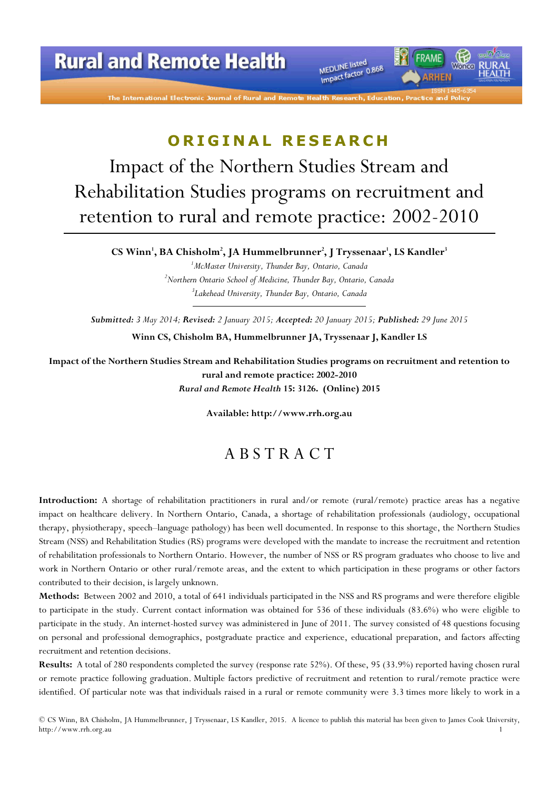# **Rural and Remote Health**

The International Electronic Journal of Rural and Remo

MEDLINE listed MEDLINE listed<br>Impact factor 0.868

### ORIGINAL RESEARCH

Impact of the Northern Studies Stream and Rehabilitation Studies programs on recruitment and retention to rural and remote practice: 2002-2010

CS Winn', BA Chisholm<sup>2</sup>, JA Hummelbrunner<sup>2</sup>, J Tryssenaar', LS Kandler<sup>3</sup>

 $<sup>1</sup>$ McMaster University, Thunder Bay, Ontario, Canada</sup>  $2^2$ Northern Ontario School of Medicine, Thunder Bay, Ontario, Canada  ${}^{3}$ Lakehead University, Thunder Bay, Ontario, Canada

Submitted: 3 May 2014; Revised: 2 January 2015; Accepted: 20 January 2015; Published: 29 June 2015 Winn CS, Chisholm BA, Hummelbrunner JA, Tryssenaar J, Kandler LS

Impact of the Northern Studies Stream and Rehabilitation Studies programs on recruitment and retention to rural and remote practice: 2002-2010 Rural and Remote Health 15: 3126. (Online) 2015

Available: http://www.rrh.org.au

### A B S T R A C T

Introduction: A shortage of rehabilitation practitioners in rural and/or remote (rural/remote) practice areas has a negative impact on healthcare delivery. In Northern Ontario, Canada, a shortage of rehabilitation professionals (audiology, occupational therapy, physiotherapy, speech–language pathology) has been well documented. In response to this shortage, the Northern Studies Stream (NSS) and Rehabilitation Studies (RS) programs were developed with the mandate to increase the recruitment and retention of rehabilitation professionals to Northern Ontario. However, the number of NSS or RS program graduates who choose to live and work in Northern Ontario or other rural/remote areas, and the extent to which participation in these programs or other factors contributed to their decision, is largely unknown.

Methods: Between 2002 and 2010, a total of 641 individuals participated in the NSS and RS programs and were therefore eligible to participate in the study. Current contact information was obtained for 536 of these individuals (83.6%) who were eligible to participate in the study. An internet-hosted survey was administered in June of 2011. The survey consisted of 48 questions focusing on personal and professional demographics, postgraduate practice and experience, educational preparation, and factors affecting recruitment and retention decisions.

Results: A total of 280 respondents completed the survey (response rate 52%). Of these, 95 (33.9%) reported having chosen rural or remote practice following graduation. Multiple factors predictive of recruitment and retention to rural/remote practice were identified. Of particular note was that individuals raised in a rural or remote community were 3.3 times more likely to work in a

© CS Winn, BA Chisholm, JA Hummelbrunner, J Tryssenaar, LS Kandler, 2015. A licence to publish this material has been given to James Cook University, http://www.rrh.org.au 1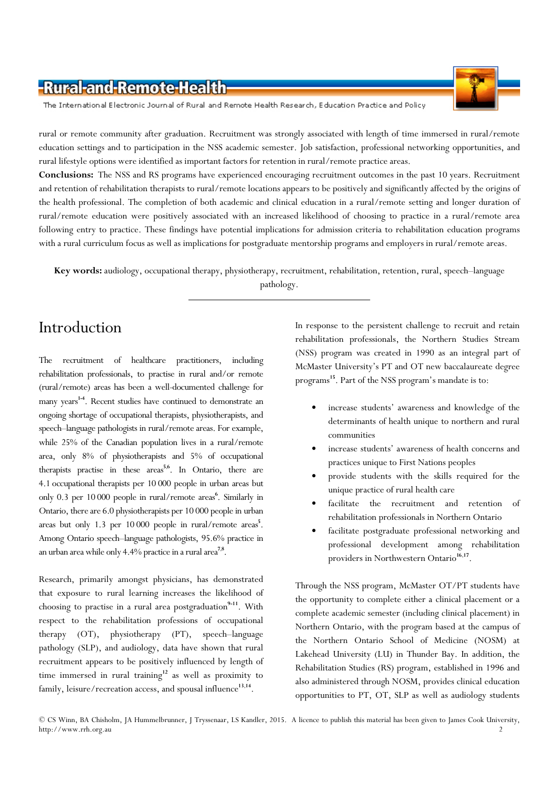The International Electronic Journal of Rural and Remote Health Research, Education Practice and Policy

rural or remote community after graduation. Recruitment was strongly associated with length of time immersed in rural/remote education settings and to participation in the NSS academic semester. Job satisfaction, professional networking opportunities, and rural lifestyle options were identified as important factors for retention in rural/remote practice areas.

Conclusions: The NSS and RS programs have experienced encouraging recruitment outcomes in the past 10 years. Recruitment and retention of rehabilitation therapists to rural/remote locations appears to be positively and significantly affected by the origins of the health professional. The completion of both academic and clinical education in a rural/remote setting and longer duration of rural/remote education were positively associated with an increased likelihood of choosing to practice in a rural/remote area following entry to practice. These findings have potential implications for admission criteria to rehabilitation education programs with a rural curriculum focus as well as implications for postgraduate mentorship programs and employers in rural/remote areas.

Key words: audiology, occupational therapy, physiotherapy, recruitment, rehabilitation, retention, rural, speech-language pathology.

# Introduction

The recruitment of healthcare practitioners, including rehabilitation professionals, to practise in rural and/or remote (rural/remote) areas has been a well-documented challenge for many years<sup>14</sup>. Recent studies have continued to demonstrate an ongoing shortage of occupational therapists, physiotherapists, and speech–language pathologists in rural/remote areas. For example, while 25% of the Canadian population lives in a rural/remote area, only 8% of physiotherapists and 5% of occupational therapists practise in these areas<sup>5,6</sup>. In Ontario, there are 4.1 occupational therapists per 10 000 people in urban areas but only 0.3 per 10 000 people in rural/remote areas<sup>6</sup>. Similarly in Ontario, there are 6.0 physiotherapists per 10 000 people in urban areas but only 1.3 per 10 000 people in rural/remote areas<sup>5</sup>. Among Ontario speech–language pathologists, 95.6% practice in an urban area while only  $4.4\%$  practice in a rural area<sup>7,8</sup>.

Research, primarily amongst physicians, has demonstrated that exposure to rural learning increases the likelihood of choosing to practise in a rural area postgraduation<sup>9-11</sup>. With respect to the rehabilitation professions of occupational therapy (OT), physiotherapy (PT), speech–language pathology (SLP), and audiology, data have shown that rural recruitment appears to be positively influenced by length of time immersed in rural training $12$  as well as proximity to family, leisure/recreation access, and spousal influence<sup>13,14</sup>.

In response to the persistent challenge to recruit and retain rehabilitation professionals, the Northern Studies Stream (NSS) program was created in 1990 as an integral part of McMaster University's PT and OT new baccalaureate degree programs <sup>15</sup>. Part of the NSS program's mandate is to:

- increase students' awareness and knowledge of the determinants of health unique to northern and rural communities
- increase students' awareness of health concerns and practices unique to First Nations peoples
- provide students with the skills required for the unique practice of rural health care
- facilitate the recruitment and retention of rehabilitation professionals in Northern Ontario
- facilitate postgraduate professional networking and professional development among rehabilitation providers in Northwestern Ontario<sup>16,17</sup>.

Through the NSS program, McMaster OT/PT students have the opportunity to complete either a clinical placement or a complete academic semester (including clinical placement) in Northern Ontario, with the program based at the campus of the Northern Ontario School of Medicine (NOSM) at Lakehead University (LU) in Thunder Bay. In addition, the Rehabilitation Studies (RS) program, established in 1996 and also administered through NOSM, provides clinical education opportunities to PT, OT, SLP as well as audiology students

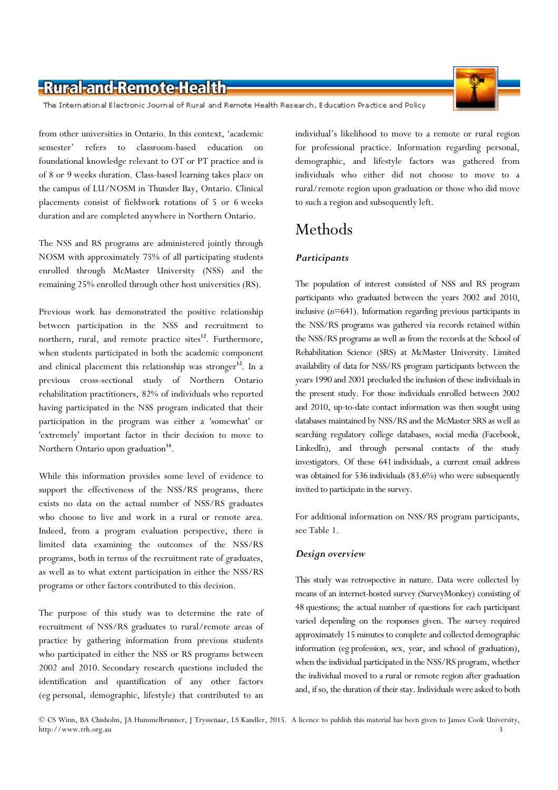The International Electronic Journal of Rural and Remote Health Research, Education Practice and Policy

from other universities in Ontario. In this context, 'academic semester' refers to classroom-based education on foundational knowledge relevant to OT or PT practice and is of 8 or 9 weeks duration. Class-based learning takes place on the campus of LU/NOSM in Thunder Bay, Ontario. Clinical placements consist of fieldwork rotations of 5 or 6 weeks duration and are completed anywhere in Northern Ontario.

The NSS and RS programs are administered jointly through NOSM with approximately 75% of all participating students enrolled through McMaster University (NSS) and the remaining 25% enrolled through other host universities (RS).

Previous work has demonstrated the positive relationship between participation in the NSS and recruitment to northern, rural, and remote practice sites<sup>12</sup>. Furthermore, when students participated in both the academic component and clinical placement this relationship was stronger<sup>12</sup>. In a previous cross-sectional study of Northern Ontario rehabilitation practitioners, 82% of individuals who reported having participated in the NSS program indicated that their participation in the program was either a 'somewhat' or 'extremely' important factor in their decision to move to Northern Ontario upon graduation<sup>14</sup>.

While this information provides some level of evidence to support the effectiveness of the NSS/RS programs, there exists no data on the actual number of NSS/RS graduates who choose to live and work in a rural or remote area. Indeed, from a program evaluation perspective, there is limited data examining the outcomes of the NSS/RS programs, both in terms of the recruitment rate of graduates, as well as to what extent participation in either the NSS/RS programs or other factors contributed to this decision.

The purpose of this study was to determine the rate of recruitment of NSS/RS graduates to rural/remote areas of practice by gathering information from previous students who participated in either the NSS or RS programs between 2002 and 2010. Secondary research questions included the identification and quantification of any other factors (eg personal, demographic, lifestyle) that contributed to an

individual's likelihood to move to a remote or rural region for professional practice. Information regarding personal, demographic, and lifestyle factors was gathered from individuals who either did not choose to move to a rural/remote region upon graduation or those who did move to such a region and subsequently left.

### Methods

### **Participants**

The population of interest consisted of NSS and RS program participants who graduated between the years 2002 and 2010, inclusive  $(n=641)$ . Information regarding previous participants in the NSS/RS programs was gathered via records retained within the NSS/RS programs as well as from the records at the School of Rehabilitation Science (SRS) at McMaster University. Limited availability of data for NSS/RS program participants between the years 1990 and 2001 precluded the inclusion of these individuals in the present study. For those individuals enrolled between 2002 and 2010, up-to-date contact information was then sought using databases maintained by NSS/RS and the McMaster SRS as well as searching regulatory college databases, social media (Facebook, LinkedIn), and through personal contacts of the study investigators. Of these 641 individuals, a current email address was obtained for 536 individuals (83.6%) who were subsequently invited to participate in the survey.

For additional information on NSS/RS program participants, see Table 1.

#### Design overview

This study was retrospective in nature. Data were collected by means of an internet-hosted survey (SurveyMonkey) consisting of 48 questions; the actual number of questions for each participant varied depending on the responses given. The survey required approximately 15 minutes to complete and collected demographic information (eg profession, sex, year, and school of graduation), when the individual participated in the NSS/RS program, whether the individual moved to a rural or remote region after graduation and, if so, the duration of their stay. Individuals were asked to both

<sup>©</sup> CS Winn, BA Chisholm, JA Hummelbrunner, J Tryssenaar, LS Kandler, 2015. A licence to publish this material has been given to James Cook University, http://www.rrh.org.au 3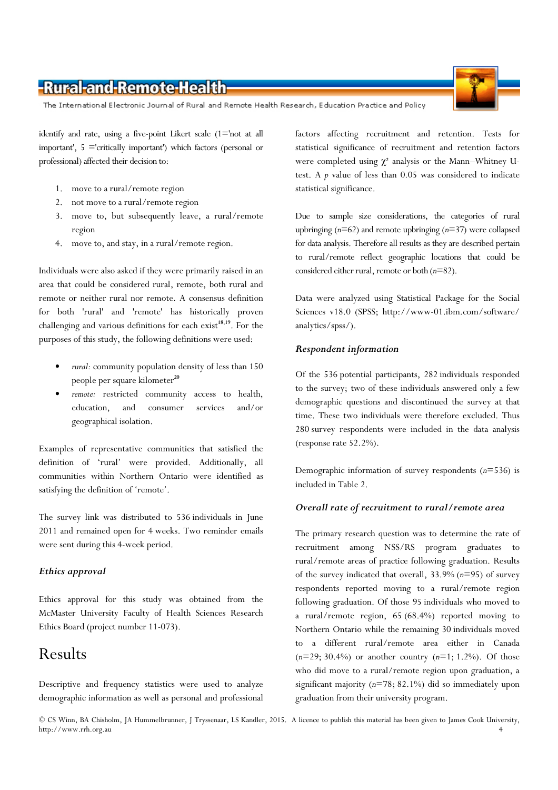The International Electronic Journal of Rural and Remote Health Research, Education Practice and Policy

identify and rate, using a five-point Likert scale (1='not at all important', 5 ='critically important') which factors (personal or professional) affected their decision to:

- 1. move to a rural/remote region
- 2. not move to a rural/remote region
- 3. move to, but subsequently leave, a rural/remote region
- 4. move to, and stay, in a rural/remote region.

Individuals were also asked if they were primarily raised in an area that could be considered rural, remote, both rural and remote or neither rural nor remote. A consensus definition for both 'rural' and 'remote' has historically proven challenging and various definitions for each exist<sup>18,19</sup>. For the purposes of this study, the following definitions were used:

- rural: community population density of less than 150 people per square kilometer<sup>20</sup>
- remote: restricted community access to health, education, and consumer services and/or geographical isolation.

Examples of representative communities that satisfied the definition of 'rural' were provided. Additionally, all communities within Northern Ontario were identified as satisfying the definition of 'remote'.

The survey link was distributed to 536 individuals in June 2011 and remained open for 4 weeks. Two reminder emails were sent during this 4-week period.

#### Ethics approval

Ethics approval for this study was obtained from the McMaster University Faculty of Health Sciences Research Ethics Board (project number 11-073).

### Results

Descriptive and frequency statistics were used to analyze demographic information as well as personal and professional factors affecting recruitment and retention. Tests for statistical significance of recruitment and retention factors were completed using  $\chi^2$  analysis or the Mann–Whitney Utest. A  $p$  value of less than 0.05 was considered to indicate statistical significance.

Due to sample size considerations, the categories of rural upbringing  $(n=62)$  and remote upbringing  $(n=37)$  were collapsed for data analysis. Therefore all results as they are described pertain to rural/remote reflect geographic locations that could be considered either rural, remote or both  $(n=82)$ .

Data were analyzed using Statistical Package for the Social Sciences v18.0 (SPSS; http://www-01.ibm.com/software/ analytics/spss/).

#### Respondent information

Of the 536 potential participants, 282 individuals responded to the survey; two of these individuals answered only a few demographic questions and discontinued the survey at that time. These two individuals were therefore excluded. Thus 280 survey respondents were included in the data analysis (response rate 52.2%).

Demographic information of survey respondents  $(n=536)$  is included in Table 2.

#### Overall rate of recruitment to rural/remote area

The primary research question was to determine the rate of recruitment among NSS/RS program graduates to rural/remote areas of practice following graduation. Results of the survey indicated that overall,  $33.9\%$  ( $n=95$ ) of survey respondents reported moving to a rural/remote region following graduation. Of those 95 individuals who moved to a rural/remote region, 65 (68.4%) reported moving to Northern Ontario while the remaining 30 individuals moved to a different rural/remote area either in Canada  $(n=29; 30.4\%)$  or another country  $(n=1; 1.2\%)$ . Of those who did move to a rural/remote region upon graduation, a significant majority  $(n=78; 82.1%)$  did so immediately upon graduation from their university program.

© CS Winn, BA Chisholm, JA Hummelbrunner, J Tryssenaar, LS Kandler, 2015. A licence to publish this material has been given to James Cook University, http://www.rrh.org.au 4

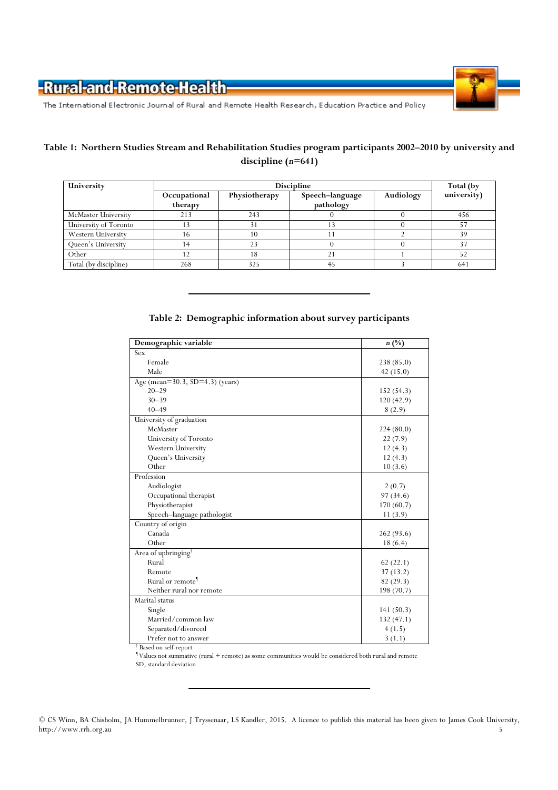

The International Electronic Journal of Rural and Remote Health Research, Education Practice and Policy

### Table 1: Northern Studies Stream and Rehabilitation Studies program participants 2002–2010 by university and discipline (n=641)

| University            | <b>Discipline</b> |               |                 |           | Total (by   |
|-----------------------|-------------------|---------------|-----------------|-----------|-------------|
|                       | Occupational      | Physiotherapy | Speech-language | Audiology | university) |
|                       | therapy           |               | pathology       |           |             |
| McMaster University   | 213               | 243           |                 |           | 456         |
| University of Toronto |                   |               |                 |           |             |
| Western University    | 16                | 10            |                 |           | 39          |
| Queen's University    |                   | 23            |                 |           | 37          |
| Other                 |                   |               | $2^{\cdot}$     |           |             |
| Total (by discipline) | 268               | 325           | 45              |           | 641         |

#### Table 2: Demographic information about survey participants

| Demographic variable            | $n(^{0}/_{0})$ |
|---------------------------------|----------------|
| Sex                             |                |
| Female                          | 238 (85.0)     |
| Male                            | 42(15.0)       |
| Age (mean=30.3, SD=4.3) (years) |                |
| $20 - 29$                       | 152(54.3)      |
| $30 - 39$                       | 120(42.9)      |
| $40 - 49$                       | 8(2.9)         |
| University of graduation        |                |
| McMaster                        | 224(80.0)      |
| University of Toronto           | 22(7.9)        |
| Western University              | 12(4.3)        |
| Queen's University              | 12(4.3)        |
| Other                           | 10(3.6)        |
| Profession                      |                |
| Audiologist                     | 2(0.7)         |
| Occupational therapist          | 97(34.6)       |
| Physiotherapist                 | 170 (60.7)     |
| Speech-language pathologist     | 11(3.9)        |
| Country of origin               |                |
| Canada                          | 262 (93.6)     |
| Other                           | 18 (6.4)       |
| Area of upbringing              |                |
| Rural                           | 62(22.1)       |
| Remote                          | 37(13.2)       |
| Rural or remote <sup>1</sup>    | 82(29.3)       |
| Neither rural nor remote        | 198 (70.7)     |
| Marital status                  |                |
| Single                          | 141(50.3)      |
| Married/common law              | 132(47.1)      |
| Separated/divorced              | 4(1.5)         |
| Prefer not to answer            | 3(1.1)         |

† Based on self-report

¶ Values not summative (rural + remote) as some communities would be considered both rural and remote SD, standard deviation

<sup>©</sup> CS Winn, BA Chisholm, JA Hummelbrunner, J Tryssenaar, LS Kandler, 2015. A licence to publish this material has been given to James Cook University, http://www.rrh.org.au 5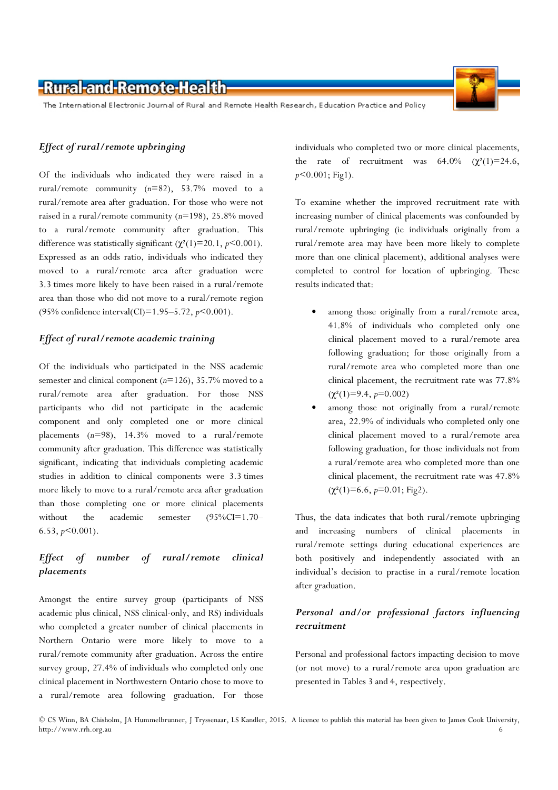The International Electronic Journal of Rural and Remote Health Research, Education Practice and Policy

#### Effect of rural/remote upbringing

Of the individuals who indicated they were raised in a rural/remote community  $(n=82)$ , 53.7% moved to a rural/remote area after graduation. For those who were not raised in a rural/remote community (n=198), 25.8% moved to a rural/remote community after graduation. This difference was statistically significant ( $\chi^2(1)=20.1$ ,  $p<0.001$ ). Expressed as an odds ratio, individuals who indicated they moved to a rural/remote area after graduation were 3.3 times more likely to have been raised in a rural/remote area than those who did not move to a rural/remote region (95% confidence interval(CI)=1.95-5.72,  $p$ <0.001).

#### Effect of rural/remote academic training

Of the individuals who participated in the NSS academic semester and clinical component  $(n=126)$ , 35.7% moved to a rural/remote area after graduation. For those NSS participants who did not participate in the academic component and only completed one or more clinical placements  $(n=98)$ , 14.3% moved to a rural/remote community after graduation. This difference was statistically significant, indicating that individuals completing academic studies in addition to clinical components were 3.3 times more likely to move to a rural/remote area after graduation than those completing one or more clinical placements without the academic semester (95%CI=1.70–  $6.53, p \le 0.001$ ).

### Effect of number of rural/remote clinical placements

Amongst the entire survey group (participants of NSS academic plus clinical, NSS clinical-only, and RS) individuals who completed a greater number of clinical placements in Northern Ontario were more likely to move to a rural/remote community after graduation. Across the entire survey group, 27.4% of individuals who completed only one clinical placement in Northwestern Ontario chose to move to a rural/remote area following graduation. For those

individuals who completed two or more clinical placements, the rate of recruitment was  $64.0\%$   $(\chi^2(1)=24.6,$  $p<0.001$ ; Fig1).

To examine whether the improved recruitment rate with increasing number of clinical placements was confounded by rural/remote upbringing (ie individuals originally from a rural/remote area may have been more likely to complete more than one clinical placement), additional analyses were completed to control for location of upbringing. These results indicated that:

- among those originally from a rural/remote area, 41.8% of individuals who completed only one clinical placement moved to a rural/remote area following graduation; for those originally from a rural/remote area who completed more than one clinical placement, the recruitment rate was 77.8%  $(\chi^2(1)=9.4, p=0.002)$
- among those not originally from a rural/remote area, 22.9% of individuals who completed only one clinical placement moved to a rural/remote area following graduation, for those individuals not from a rural/remote area who completed more than one clinical placement, the recruitment rate was 47.8%  $(\chi^2(1)=6.6, p=0.01; Fig2).$

Thus, the data indicates that both rural/remote upbringing and increasing numbers of clinical placements in rural/remote settings during educational experiences are both positively and independently associated with an individual's decision to practise in a rural/remote location after graduation.

### Personal and/or professional factors influencing recruitment

Personal and professional factors impacting decision to move (or not move) to a rural/remote area upon graduation are presented in Tables 3 and 4, respectively.



<sup>©</sup> CS Winn, BA Chisholm, JA Hummelbrunner, J Tryssenaar, LS Kandler, 2015. A licence to publish this material has been given to James Cook University, http://www.rrh.org.au 6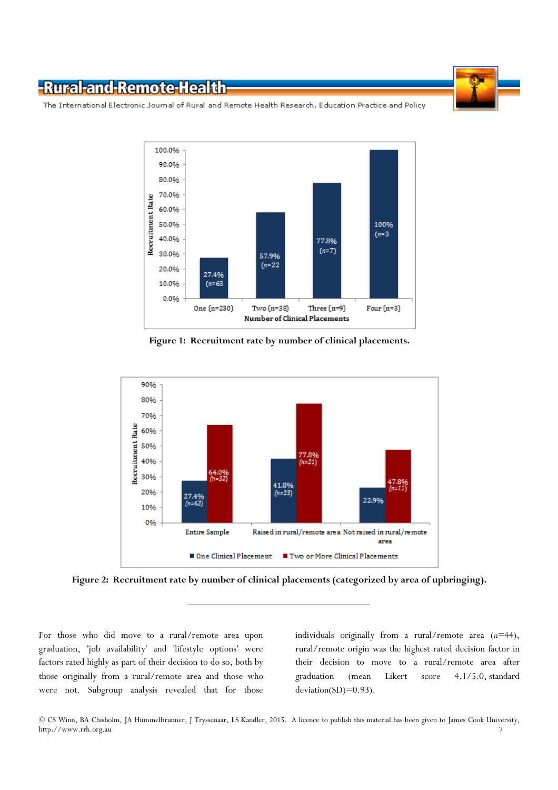

The International Electronic Journal of Rural and Remote Health Research, Education Practice and Policy



Figure 1: Recruitment rate by number of clinical placements.



Figure 2: Recruitment rate by number of clinical placements (categorized by area of upbringing).

For those who did move to a rural/remote area upon graduation, 'job availability' and 'lifestyle options' were factors rated highly as part of their decision to do so, both by those originally from a rural/remote area and those who were not. Subgroup analysis revealed that for those

individuals originally from a rural/remote area  $(n=44)$ , rural/remote origin was the highest rated decision factor in their decision to move to a rural/remote area after graduation (mean Likert score 4.1/5.0, standard deviation(SD)=0.93).

<sup>©</sup> CS Winn, BA Chisholm, JA Hummelbrunner, J Tryssenaar, LS Kandler, 2015. A licence to publish this material has been given to James Cook University, http://www.rrh.org.au 7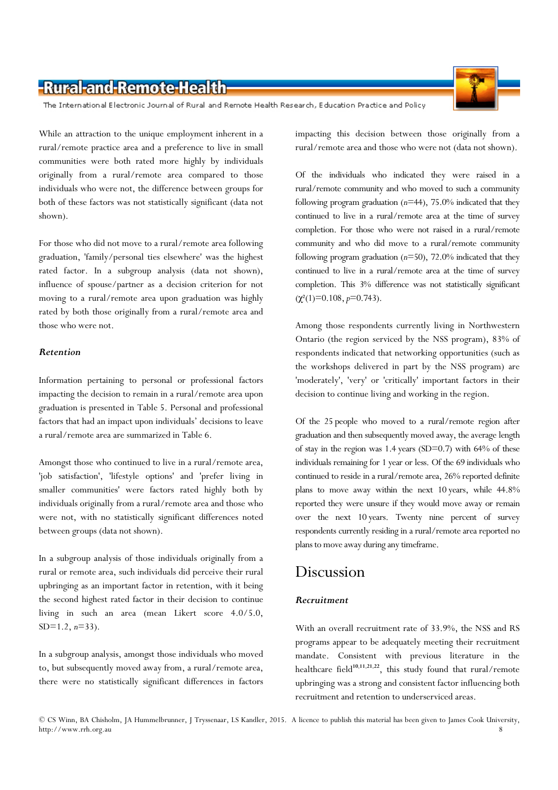The International Electronic Journal of Rural and Remote Health Research, Education Practice and Policy

While an attraction to the unique employment inherent in a rural/remote practice area and a preference to live in small communities were both rated more highly by individuals originally from a rural/remote area compared to those individuals who were not, the difference between groups for both of these factors was not statistically significant (data not shown).

For those who did not move to a rural/remote area following graduation, 'family/personal ties elsewhere' was the highest rated factor. In a subgroup analysis (data not shown), influence of spouse/partner as a decision criterion for not moving to a rural/remote area upon graduation was highly rated by both those originally from a rural/remote area and those who were not.

#### Retention

Information pertaining to personal or professional factors impacting the decision to remain in a rural/remote area upon graduation is presented in Table 5. Personal and professional factors that had an impact upon individuals' decisions to leave a rural/remote area are summarized in Table 6.

Amongst those who continued to live in a rural/remote area, 'job satisfaction', 'lifestyle options' and 'prefer living in smaller communities' were factors rated highly both by individuals originally from a rural/remote area and those who were not, with no statistically significant differences noted between groups (data not shown).

In a subgroup analysis of those individuals originally from a rural or remote area, such individuals did perceive their rural upbringing as an important factor in retention, with it being the second highest rated factor in their decision to continue living in such an area (mean Likert score 4.0/5.0,  $SD=1.2$ ,  $n=33$ ).

In a subgroup analysis, amongst those individuals who moved to, but subsequently moved away from, a rural/remote area, there were no statistically significant differences in factors

impacting this decision between those originally from a rural/remote area and those who were not (data not shown).

Of the individuals who indicated they were raised in a rural/remote community and who moved to such a community following program graduation  $(n=44)$ , 75.0% indicated that they continued to live in a rural/remote area at the time of survey completion. For those who were not raised in a rural/remote community and who did move to a rural/remote community following program graduation  $(n=50)$ , 72.0% indicated that they continued to live in a rural/remote area at the time of survey completion. This 3% difference was not statistically significant  $(\chi^2(1)=0.108, p=0.743).$ 

Among those respondents currently living in Northwestern Ontario (the region serviced by the NSS program), 83% of respondents indicated that networking opportunities (such as the workshops delivered in part by the NSS program) are 'moderately', 'very' or 'critically' important factors in their decision to continue living and working in the region.

Of the 25 people who moved to a rural/remote region after graduation and then subsequently moved away, the average length of stay in the region was 1.4 years (SD=0.7) with 64% of these individuals remaining for 1 year or less. Of the 69 individuals who continued to reside in a rural/remote area, 26% reported definite plans to move away within the next 10 years, while 44.8% reported they were unsure if they would move away or remain over the next 10 years. Twenty nine percent of survey respondents currently residing in a rural/remote area reported no plans to move away during any timeframe.

### Discussion

#### Recruitment

With an overall recruitment rate of 33.9%, the NSS and RS programs appear to be adequately meeting their recruitment mandate. Consistent with previous literature in the healthcare field<sup>10,11,21,22</sup>, this study found that rural/remote upbringing was a strong and consistent factor influencing both recruitment and retention to underserviced areas.

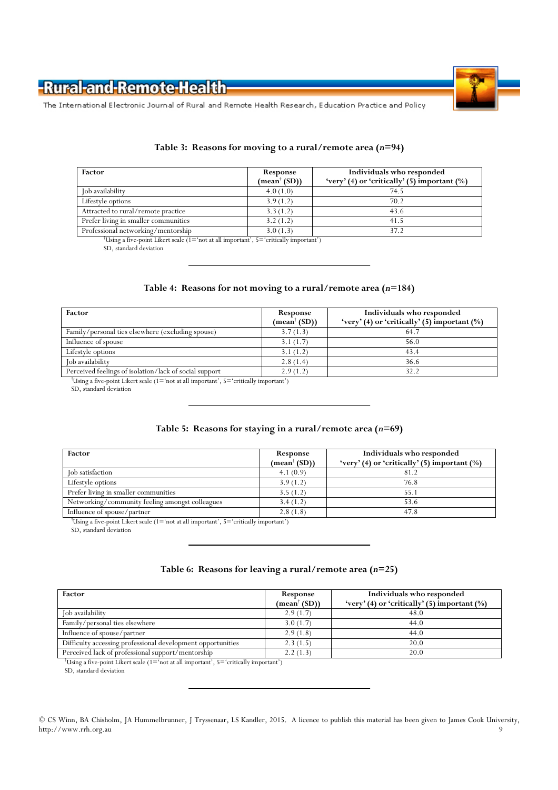

The International Electronic Journal of Rural and Remote Health Research, Education Practice and Policy

#### Table 3: Reasons for moving to a rural/remote area  $(n=94)$

| Factor                               | Response<br>$(\text{mean}^{\dagger}(\text{SD}))$ | Individuals who responded<br>'very' (4) or 'critically' (5) important $(\%)$ |
|--------------------------------------|--------------------------------------------------|------------------------------------------------------------------------------|
| Job availability                     | 4.0(1.0)                                         | 74.5                                                                         |
| Lifestyle options                    | 3.9(1.2)                                         | 70.2                                                                         |
| Attracted to rural/remote practice   | 3.3(1.2)                                         | 43.6                                                                         |
| Prefer living in smaller communities | 3.2(1.2)                                         | 41.5                                                                         |
| Professional networking/mentorship   | 3.0(1.3)                                         |                                                                              |

†Using a five-point Likert scale (1='not at all important', 5='critically important')

SD, standard deviation

# Table 4: Reasons for not moving to a rural/remote area  $(n=184)$

| Response                               | Individuals who responded                       |
|----------------------------------------|-------------------------------------------------|
| $(\text{mean}^{\dagger} \text{ (SD)})$ | 'very' (4) or 'critically' (5) important $(\%)$ |
| 3.7(1.3)                               | 64.7                                            |
| 3.1(1.7)                               | 56.0                                            |
| 3.1(1.2)                               | 43.4                                            |
| 2.8(1.4)                               | 36.6                                            |
| 2.9(1.2)                               | 32.2                                            |
|                                        |                                                 |

†Using a five-point Likert scale (1='not at all important', 5='critically important') SD, standard deviation

## Table 5: Reasons for staying in a rural/remote area  $(n=69)$

| Factor                                          | Response<br>$(\text{mean}^{\dagger}(\text{SD}))$ | Individuals who responded<br>'very' (4) or 'critically' (5) important $(\%)$ |
|-------------------------------------------------|--------------------------------------------------|------------------------------------------------------------------------------|
| Job satisfaction                                | 4.1(0.9)                                         | 81.2                                                                         |
| Lifestyle options                               | 3.9(1.2)                                         | 76.8                                                                         |
| Prefer living in smaller communities            | 3.5(1.2)                                         | 55.1                                                                         |
| Networking/community feeling amongst colleagues | 3.4(1.2)                                         | 53.6                                                                         |
| Influence of spouse/partner                     | 2.8(1.8)                                         | 47.8                                                                         |

†Using a five-point Likert scale (1='not at all important', 5='critically important')

SD, standard deviation

#### Table 6: Reasons for leaving a rural/remote area  $(n=25)$

| Factor                                                      | Response                             | Individuals who responded                       |
|-------------------------------------------------------------|--------------------------------------|-------------------------------------------------|
|                                                             | $(\text{mean}^{\dagger}(\text{SD}))$ | 'very' (4) or 'critically' (5) important $(\%)$ |
| Job availability                                            | 2.9(1.7)                             | 48.0                                            |
| Family/personal ties elsewhere                              | 3.0(1.7)                             | 44.0                                            |
| Influence of spouse/partner                                 | 2.9(1.8)                             | 44.0                                            |
| Difficulty accessing professional development opportunities | 2.3(1.5)                             | 20.0                                            |
| Perceived lack of professional support/mentorship           | 2.2(1.3)                             | 20.0                                            |

†Using a five-point Likert scale (1='not at all important', 5='critically important')

SD, standard deviation

© CS Winn, BA Chisholm, JA Hummelbrunner, J Tryssenaar, LS Kandler, 2015. A licence to publish this material has been given to James Cook University, http://www.rrh.org.au 9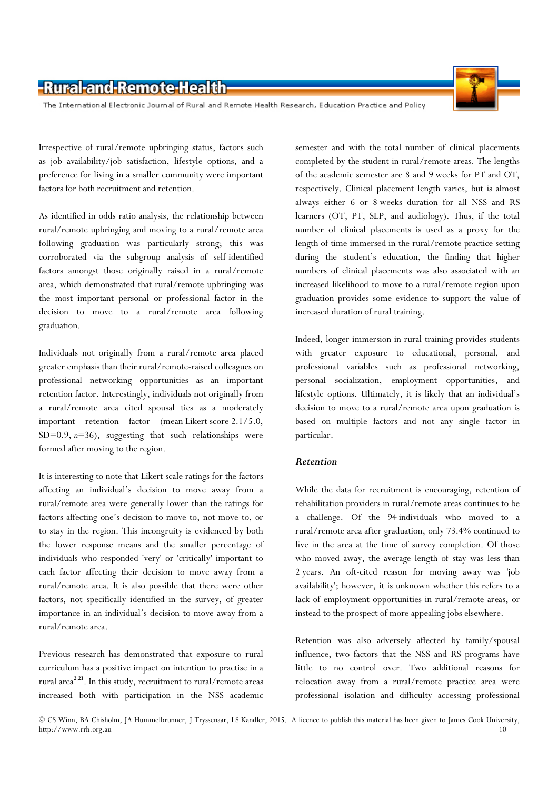The International Electronic Journal of Rural and Remote Health Research, Education Practice and Policy

Irrespective of rural/remote upbringing status, factors such as job availability/job satisfaction, lifestyle options, and a preference for living in a smaller community were important factors for both recruitment and retention.

As identified in odds ratio analysis, the relationship between rural/remote upbringing and moving to a rural/remote area following graduation was particularly strong; this was corroborated via the subgroup analysis of self-identified factors amongst those originally raised in a rural/remote area, which demonstrated that rural/remote upbringing was the most important personal or professional factor in the decision to move to a rural/remote area following graduation.

Individuals not originally from a rural/remote area placed greater emphasis than their rural/remote-raised colleagues on professional networking opportunities as an important retention factor. Interestingly, individuals not originally from a rural/remote area cited spousal ties as a moderately important retention factor (mean Likert score 2.1/5.0, SD=0.9,  $n=36$ ), suggesting that such relationships were formed after moving to the region.

It is interesting to note that Likert scale ratings for the factors affecting an individual's decision to move away from a rural/remote area were generally lower than the ratings for factors affecting one's decision to move to, not move to, or to stay in the region. This incongruity is evidenced by both the lower response means and the smaller percentage of individuals who responded 'very' or 'critically' important to each factor affecting their decision to move away from a rural/remote area. It is also possible that there were other factors, not specifically identified in the survey, of greater importance in an individual's decision to move away from a rural/remote area.

Previous research has demonstrated that exposure to rural curriculum has a positive impact on intention to practise in a rural area<sup>2,23</sup>. In this study, recruitment to rural/remote areas increased both with participation in the NSS academic

semester and with the total number of clinical placements completed by the student in rural/remote areas. The lengths of the academic semester are 8 and 9 weeks for PT and OT, respectively. Clinical placement length varies, but is almost always either 6 or 8 weeks duration for all NSS and RS learners (OT, PT, SLP, and audiology). Thus, if the total number of clinical placements is used as a proxy for the length of time immersed in the rural/remote practice setting during the student's education, the finding that higher numbers of clinical placements was also associated with an increased likelihood to move to a rural/remote region upon graduation provides some evidence to support the value of increased duration of rural training.

Indeed, longer immersion in rural training provides students with greater exposure to educational, personal, and professional variables such as professional networking, personal socialization, employment opportunities, and lifestyle options. Ultimately, it is likely that an individual's decision to move to a rural/remote area upon graduation is based on multiple factors and not any single factor in particular.

#### Retention

While the data for recruitment is encouraging, retention of rehabilitation providers in rural/remote areas continues to be a challenge. Of the 94 individuals who moved to a rural/remote area after graduation, only 73.4% continued to live in the area at the time of survey completion. Of those who moved away, the average length of stay was less than 2 years. An oft-cited reason for moving away was 'job availability'; however, it is unknown whether this refers to a lack of employment opportunities in rural/remote areas, or instead to the prospect of more appealing jobs elsewhere.

Retention was also adversely affected by family/spousal influence, two factors that the NSS and RS programs have little to no control over. Two additional reasons for relocation away from a rural/remote practice area were professional isolation and difficulty accessing professional

<sup>©</sup> CS Winn, BA Chisholm, JA Hummelbrunner, J Tryssenaar, LS Kandler, 2015. A licence to publish this material has been given to James Cook University, http://www.rrh.org.au 10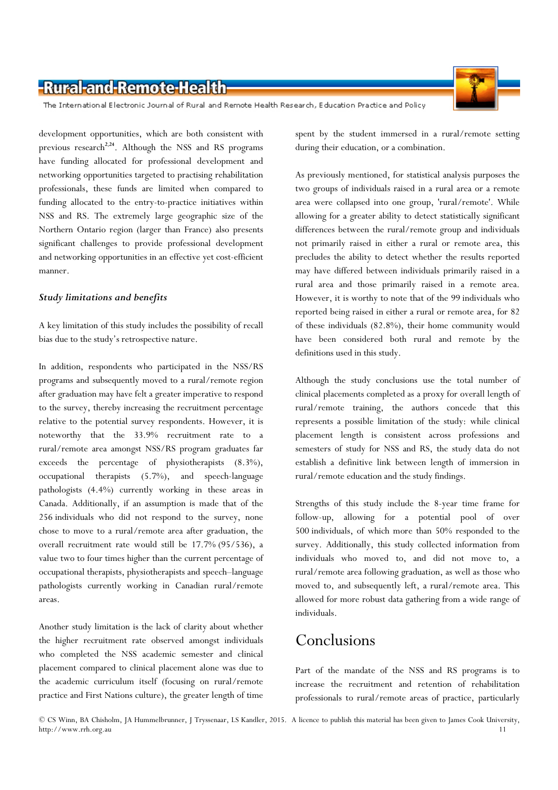The International Electronic Journal of Rural and Remote Health Research, Education Practice and Policy

development opportunities, which are both consistent with previous research<sup>2,24</sup>. Although the NSS and RS programs have funding allocated for professional development and networking opportunities targeted to practising rehabilitation professionals, these funds are limited when compared to funding allocated to the entry-to-practice initiatives within NSS and RS. The extremely large geographic size of the Northern Ontario region (larger than France) also presents significant challenges to provide professional development and networking opportunities in an effective yet cost-efficient manner.

#### Study limitations and benefits

A key limitation of this study includes the possibility of recall bias due to the study's retrospective nature.

In addition, respondents who participated in the NSS/RS programs and subsequently moved to a rural/remote region after graduation may have felt a greater imperative to respond to the survey, thereby increasing the recruitment percentage relative to the potential survey respondents. However, it is noteworthy that the 33.9% recruitment rate to a rural/remote area amongst NSS/RS program graduates far exceeds the percentage of physiotherapists (8.3%), occupational therapists (5.7%), and speech-language pathologists (4.4%) currently working in these areas in Canada. Additionally, if an assumption is made that of the 256 individuals who did not respond to the survey, none chose to move to a rural/remote area after graduation, the overall recruitment rate would still be 17.7% (95/536), a value two to four times higher than the current percentage of occupational therapists, physiotherapists and speech–language pathologists currently working in Canadian rural/remote areas.

Another study limitation is the lack of clarity about whether the higher recruitment rate observed amongst individuals who completed the NSS academic semester and clinical placement compared to clinical placement alone was due to the academic curriculum itself (focusing on rural/remote practice and First Nations culture), the greater length of time spent by the student immersed in a rural/remote setting during their education, or a combination.

As previously mentioned, for statistical analysis purposes the two groups of individuals raised in a rural area or a remote area were collapsed into one group, 'rural/remote'. While allowing for a greater ability to detect statistically significant differences between the rural/remote group and individuals not primarily raised in either a rural or remote area, this precludes the ability to detect whether the results reported may have differed between individuals primarily raised in a rural area and those primarily raised in a remote area. However, it is worthy to note that of the 99 individuals who reported being raised in either a rural or remote area, for 82 of these individuals (82.8%), their home community would have been considered both rural and remote by the definitions used in this study.

Although the study conclusions use the total number of clinical placements completed as a proxy for overall length of rural/remote training, the authors concede that this represents a possible limitation of the study: while clinical placement length is consistent across professions and semesters of study for NSS and RS, the study data do not establish a definitive link between length of immersion in rural/remote education and the study findings.

Strengths of this study include the 8-year time frame for follow-up, allowing for a potential pool of over 500 individuals, of which more than 50% responded to the survey. Additionally, this study collected information from individuals who moved to, and did not move to, a rural/remote area following graduation, as well as those who moved to, and subsequently left, a rural/remote area. This allowed for more robust data gathering from a wide range of individuals.

# Conclusions

Part of the mandate of the NSS and RS programs is to increase the recruitment and retention of rehabilitation professionals to rural/remote areas of practice, particularly

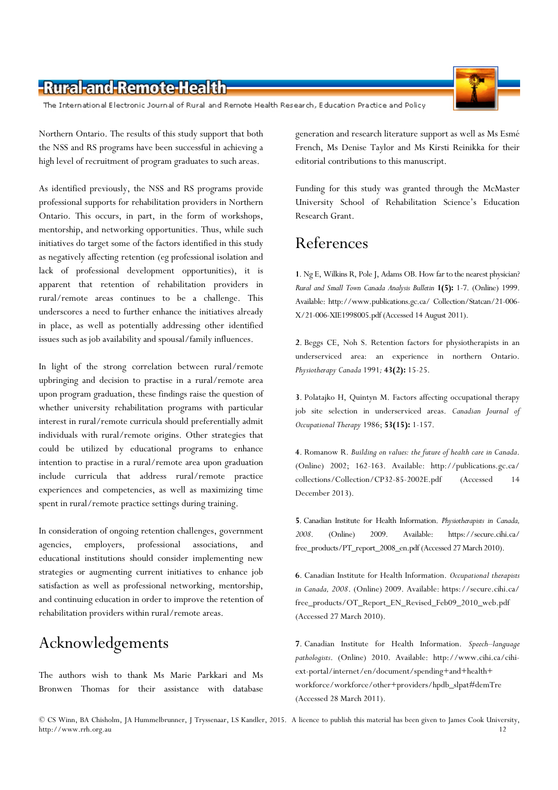The International Electronic Journal of Rural and Remote Health Research, Education Practice and Policy

Northern Ontario. The results of this study support that both the NSS and RS programs have been successful in achieving a high level of recruitment of program graduates to such areas.

As identified previously, the NSS and RS programs provide professional supports for rehabilitation providers in Northern Ontario. This occurs, in part, in the form of workshops, mentorship, and networking opportunities. Thus, while such initiatives do target some of the factors identified in this study as negatively affecting retention (eg professional isolation and lack of professional development opportunities), it is apparent that retention of rehabilitation providers in rural/remote areas continues to be a challenge. This underscores a need to further enhance the initiatives already in place, as well as potentially addressing other identified issues such as job availability and spousal/family influences.

In light of the strong correlation between rural/remote upbringing and decision to practise in a rural/remote area upon program graduation, these findings raise the question of whether university rehabilitation programs with particular interest in rural/remote curricula should preferentially admit individuals with rural/remote origins. Other strategies that could be utilized by educational programs to enhance intention to practise in a rural/remote area upon graduation include curricula that address rural/remote practice experiences and competencies, as well as maximizing time spent in rural/remote practice settings during training.

In consideration of ongoing retention challenges, government agencies, employers, professional associations, educational institutions should consider implementing new strategies or augmenting current initiatives to enhance job satisfaction as well as professional networking, mentorship, and continuing education in order to improve the retention of rehabilitation providers within rural/remote areas.

# Acknowledgements

The authors wish to thank Ms Marie Parkkari and Ms Bronwen Thomas for their assistance with database generation and research literature support as well as Ms Esmé French, Ms Denise Taylor and Ms Kirsti Reinikka for their editorial contributions to this manuscript.

Funding for this study was granted through the McMaster University School of Rehabilitation Science's Education Research Grant.

# References

1. Ng E, Wilkins R, Pole J, Adams OB. How far to the nearest physician? Rural and Small Town Canada Analysis Bulletin 1(5): 1-7. (Online) 1999. Available: http://www.publications.gc.ca/ Collection/Statcan/21-006- X/21-006-XIE1998005.pdf (Accessed 14 August 2011).

2. Beggs CE, Noh S. Retention factors for physiotherapists in an underserviced area: an experience in northern Ontario. Physiotherapy Canada 1991; 43(2): 15-25.

3. Polatajko H, Quintyn M. Factors affecting occupational therapy job site selection in underserviced areas. Canadian Journal of Occupational Therapy 1986; 53(15): 1-157.

4. Romanow R. Building on values: the future of health care in Canada. (Online) 2002; 162-163. Available: http://publications.gc.ca/ collections/Collection/CP32-85-2002E.pdf (Accessed 14 December 2013).

5. Canadian Institute for Health Information. Physiotherapists in Canada, 2008. (Online) 2009. Available: https://secure.cihi.ca/ free\_products/PT\_report\_2008\_en.pdf (Accessed 27 March 2010).

6. Canadian Institute for Health Information. Occupational therapists in Canada, 2008. (Online) 2009. Available: https://secure.cihi.ca/ free\_products/OT\_Report\_EN\_Revised\_Feb09\_2010\_web.pdf (Accessed 27 March 2010).

7. Canadian Institute for Health Information. Speech–language pathologists. (Online) 2010. Available: http://www.cihi.ca/cihiext-portal/internet/en/document/spending+and+health+ workforce/workforce/other+providers/hpdb\_slpat#demTre (Accessed 28 March 2011).